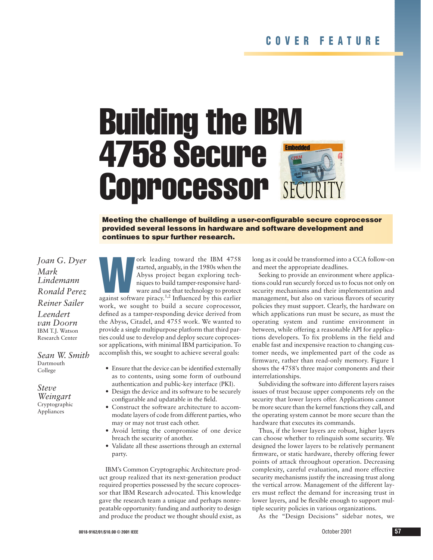# Building the IBM 4758 Secure **Embedded Coprocessor**

**Meeting the challenge of building a user-configurable secure coprocessor provided several lessons in hardware and software development and continues to spur further research.**

*Joan G. Dyer Mark Lindemann Ronald Perez Reiner Sailer Leendert van Doorn*  IBM T.J. Watson Research Center

*Sean W. Smith* Dartmouth College

*Steve Weingart* Cryptographic Appliances

ork leading toward the IBM 4758<br>started, arguably, in the 1980s when the<br>Abyss project began exploring tech-<br>niques to build tamper-responsive hard-<br>ware and use that technology to protect<br>against software piracy.<sup>1,2</sup> Inf started, arguably, in the 1980s when the Abyss project began exploring techniques to build tamper-responsive hardware and use that technology to protect work, we sought to build a secure coprocessor, defined as a tamper-responding device derived from the Abyss, Citadel, and 4755 work. We wanted to provide a single multipurpose platform that third parties could use to develop and deploy secure coprocessor applications, with minimal IBM participation. To accomplish this, we sought to achieve several goals:

- Ensure that the device can be identified externally as to contents, using some form of outbound authentication and public-key interface (PKI).
- Design the device and its software to be securely configurable and updatable in the field.
- Construct the software architecture to accommodate layers of code from different parties, who may or may not trust each other.
- Avoid letting the compromise of one device breach the security of another.
- Validate all these assertions through an external party.

IBM's Common Cryptographic Architecture product group realized that its next-generation product required properties possessed by the secure coprocessor that IBM Research advocated. This knowledge gave the research team a unique and perhaps nonrepeatable opportunity: funding and authority to design and produce the product we thought should exist, as long as it could be transformed into a CCA follow-on and meet the appropriate deadlines.

Seeking to provide an environment where applications could run securely forced us to focus not only on security mechanisms and their implementation and management, but also on various flavors of security policies they must support. Clearly, the hardware on which applications run must be secure, as must the operating system and runtime environment in between, while offering a reasonable API for applications developers. To fix problems in the field and enable fast and inexpensive reaction to changing customer needs, we implemented part of the code as firmware, rather than read-only memory. Figure 1 shows the 4758's three major components and their interrelationships.

Subdividing the software into different layers raises issues of trust because upper components rely on the security that lower layers offer. Applications cannot be more secure than the kernel functions they call, and the operating system cannot be more secure than the hardware that executes its commands.

Thus, if the lower layers are robust, higher layers can choose whether to relinquish some security. We designed the lower layers to be relatively permanent firmware, or static hardware, thereby offering fewer points of attack throughout operation. Decreasing complexity, careful evaluation, and more effective security mechanisms justify the increasing trust along the vertical arrow. Management of the different layers must reflect the demand for increasing trust in lower layers, and be flexible enough to support multiple security policies in various organizations.

As the "Design Decisions" sidebar notes, we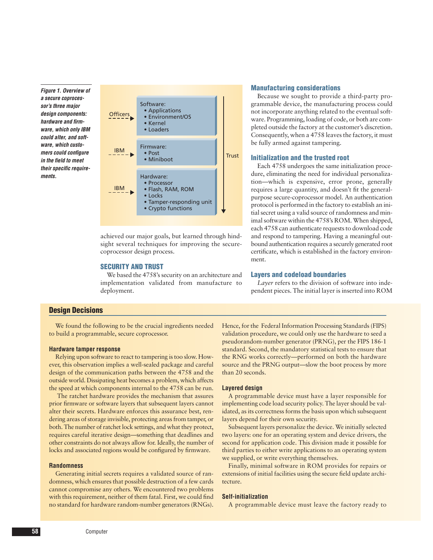*Figure 1. Overview of a secure coprocessor's three major design components: hardware and firmware, which only IBM could alter, and software, which customers could configure in the field to meet their specific requirements.*



achieved our major goals, but learned through hindsight several techniques for improving the securecoprocessor design process.

#### **SECURITY AND TRUST**

We based the 4758's security on an architecture and implementation validated from manufacture to deployment.

#### **Manufacturing considerations**

Because we sought to provide a third-party programmable device, the manufacturing process could not incorporate anything related to the eventual software. Programming, loading of code, or both are completed outside the factory at the customer's discretion. Consequently, when a 4758 leaves the factory, it must be fully armed against tampering.

# **Initialization and the trusted root**

Each 4758 undergoes the same initialization procedure, eliminating the need for individual personalization—which is expensive, error prone, generally requires a large quantity, and doesn't fit the generalpurpose secure-coprocessor model. An authentication protocol is performed in the factory to establish an initial secret using a valid source of randomness and minimal software within the 4758's ROM. When shipped, each 4758 can authenticate requests to download code and respond to tampering. Having a meaningful outbound authentication requires a securely generated root certificate, which is established in the factory environment.

## **Layers and codeload boundaries**

*Layer* refers to the division of software into independent pieces. The initial layer is inserted into ROM

# **Design Decisions**

We found the following to be the crucial ingredients needed to build a programmable, secure coprocessor.

# **Hardware tamper response**

Relying upon software to react to tampering is too slow. However, this observation implies a well-sealed package and careful design of the communication paths between the 4758 and the outside world. Dissipating heat becomes a problem, which affects the speed at which components internal to the 4758 can be run.

The ratchet hardware provides the mechanism that assures prior firmware or software layers that subsequent layers cannot alter their secrets. Hardware enforces this assurance best, rendering areas of storage invisible, protecting areas from tamper, or both. The number of ratchet lock settings, and what they protect, requires careful iterative design—something that deadlines and other constraints do not always allow for. Ideally, the number of locks and associated regions would be configured by firmware.

# **Randomness**

Generating initial secrets requires a validated source of randomness, which ensures that possible destruction of a few cards cannot compromise any others. We encountered two problems with this requirement, neither of them fatal. First, we could find no standard for hardware random-number generators (RNGs). Hence, for the Federal Information Processing Standards (FIPS) validation procedure, we could only use the hardware to seed a pseudorandom-number generator (PRNG), per the FIPS 186-1 standard. Second, the mandatory statistical tests to ensure that the RNG works correctly—performed on both the hardware source and the PRNG output—slow the boot process by more than 20 seconds.

# **Layered design**

A programmable device must have a layer responsible for implementing code load security policy. The layer should be validated, as its correctness forms the basis upon which subsequent layers depend for their own security.

Subsequent layers personalize the device. We initially selected two layers: one for an operating system and device drivers, the second for application code. This division made it possible for third parties to either write applications to an operating system we supplied, or write everything themselves.

Finally, minimal software in ROM provides for repairs or extensions of initial facilities using the secure field update architecture.

#### **Self-initialization**

A programmable device must leave the factory ready to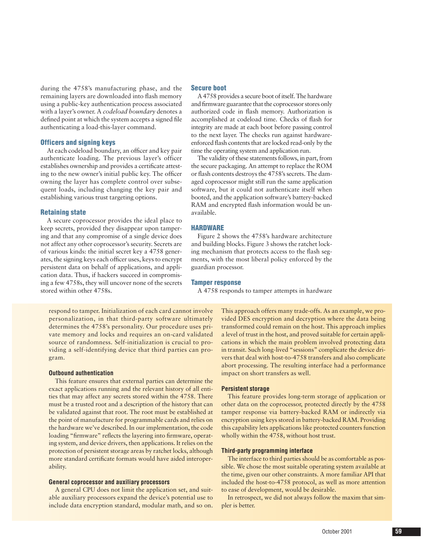during the 4758's manufacturing phase, and the remaining layers are downloaded into flash memory using a public-key authentication process associated with a layer's owner. A *codeload boundary* denotes a defined point at which the system accepts a signed file authenticating a load-this-layer command.

# **Officers and signing keys**

At each codeload boundary, an officer and key pair authenticate loading. The previous layer's officer establishes ownership and provides a certificate attesting to the new owner's initial public key. The officer owning the layer has complete control over subsequent loads, including changing the key pair and establishing various trust targeting options.

#### **Retaining state**

A secure coprocessor provides the ideal place to keep secrets, provided they disappear upon tampering and that any compromise of a single device does not affect any other coprocessor's security. Secrets are of various kinds: the initial secret key a 4758 generates, the signing keys each officer uses, keys to encrypt persistent data on behalf of applications, and application data. Thus, if hackers succeed in compromising a few 4758s, they will uncover none of the secrets stored within other 4758s.

#### **Secure boot**

A 4758 provides a secure boot of itself. The hardware and firmware guarantee that the coprocessor stores only authorized code in flash memory. Authorization is accomplished at codeload time. Checks of flash for integrity are made at each boot before passing control to the next layer. The checks run against hardwareenforced flash contents that are locked read-only by the time the operating system and application run.

The validity of these statements follows, in part, from the secure packaging. An attempt to replace the ROM or flash contents destroys the 4758's secrets. The damaged coprocessor might still run the same application software, but it could not authenticate itself when booted, and the application software's battery-backed RAM and encrypted flash information would be unavailable.

# **HARDWARE**

Figure 2 shows the 4758's hardware architecture and building blocks. Figure 3 shows the ratchet locking mechanism that protects access to the flash segments, with the most liberal policy enforced by the guardian processor.

# **Tamper response**

A 4758 responds to tamper attempts in hardware

respond to tamper. Initialization of each card cannot involve personalization, in that third-party software ultimately determines the 4758's personality. Our procedure uses private memory and locks and requires an on-card validated source of randomness. Self-initialization is crucial to providing a self-identifying device that third parties can program.

# **Outbound authentication**

This feature ensures that external parties can determine the exact applications running and the relevant history of all entities that may affect any secrets stored within the 4758. There must be a trusted root and a description of the history that can be validated against that root. The root must be established at the point of manufacture for programmable cards and relies on the hardware we've described. In our implementation, the code loading "firmware" reflects the layering into firmware, operating system, and device drivers, then applications. It relies on the protection of persistent storage areas by ratchet locks, although more standard certificate formats would have aided interoperability.

#### **General coprocessor and auxiliary processors**

A general CPU does not limit the application set, and suitable auxiliary processors expand the device's potential use to include data encryption standard, modular math, and so on. This approach offers many trade-offs. As an example, we provided DES encryption and decryption where the data being transformed could remain on the host. This approach implies a level of trust in the host, and proved suitable for certain applications in which the main problem involved protecting data in transit. Such long-lived "sessions" complicate the device drivers that deal with host-to-4758 transfers and also complicate abort processing. The resulting interface had a performance impact on short transfers as well.

# **Persistent storage**

This feature provides long-term storage of application or other data on the coprocessor, protected directly by the 4758 tamper response via battery-backed RAM or indirectly via encryption using keys stored in battery-backed RAM. Providing this capability lets applications like protected counters function wholly within the 4758, without host trust.

#### **Third-party programming interface**

The interface to third parties should be as comfortable as possible. We chose the most suitable operating system available at the time, given our other constraints. A more familiar API that included the host-to-4758 protocol, as well as more attention to ease of development, would be desirable.

In retrospect, we did not always follow the maxim that simpler is better.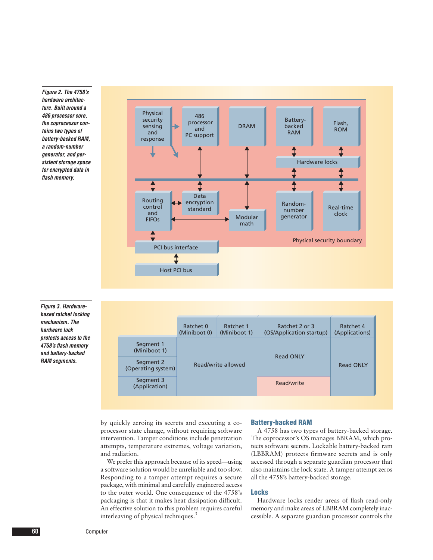*Figure 2. The 4758's hardware architecture. Built around a 486 processor core, the coprocessor contains two types of battery-backed RAM, a random-number generator, and persistent storage space for encrypted data in flash memory.*



*Figure 3. Hardwarebased ratchet locking mechanism. The hardware lock protects access to the 4758's flash memory and battery-backed RAM segments.*



by quickly zeroing its secrets and executing a coprocessor state change, without requiring software intervention. Tamper conditions include penetration attempts, temperature extremes, voltage variation, and radiation.

We prefer this approach because of its speed—using a software solution would be unreliable and too slow. Responding to a tamper attempt requires a secure package, with minimal and carefully engineered access to the outer world. One consequence of the 4758's packaging is that it makes heat dissipation difficult. An effective solution to this problem requires careful interleaving of physical techniques.<sup>3</sup>

# **Battery-backed RAM**

A 4758 has two types of battery-backed storage. The coprocessor's OS manages BBRAM, which protects software secrets. Lockable battery-backed ram (LBBRAM) protects firmware secrets and is only accessed through a separate guardian processor that also maintains the lock state. A tamper attempt zeros all the 4758's battery-backed storage.

# **Locks**

Hardware locks render areas of flash read-only memory and make areas of LBBRAM completely inaccessible. A separate guardian processor controls the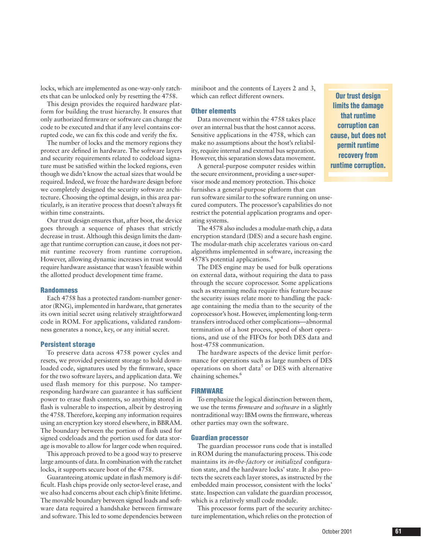locks, which are implemented as one-way-only ratchets that can be unlocked only by resetting the 4758.

This design provides the required hardware platform for building the trust hierarchy. It ensures that only authorized firmware or software can change the code to be executed and that if any level contains corrupted code, we can fix this code and verify the fix.

The number of locks and the memory regions they protect are defined in hardware. The software layers and security requirements related to codeload signature must be satisfied within the locked regions, even though we didn't know the actual sizes that would be required. Indeed, we froze the hardware design before we completely designed the security software architecture. Choosing the optimal design, in this area particularly, is an iterative process that doesn't always fit within time constraints.

Our trust design ensures that, after boot, the device goes through a sequence of phases that strictly decrease in trust. Although this design limits the damage that runtime corruption can cause, it does not permit runtime recovery from runtime corruption. However, allowing dynamic increases in trust would require hardware assistance that wasn't feasible within the allotted product development time frame.

# **Randomness**

Each 4758 has a protected random-number generator (RNG), implemented in hardware, that generates its own initial secret using relatively straightforward code in ROM. For applications, validated randomness generates a nonce, key, or any initial secret.

#### **Persistent storage**

To preserve data across 4758 power cycles and resets, we provided persistent storage to hold downloaded code, signatures used by the firmware, space for the two software layers, and application data. We used flash memory for this purpose. No tamperresponding hardware can guarantee it has sufficient power to erase flash contents, so anything stored in flash is vulnerable to inspection, albeit by destroying the 4758. Therefore, keeping any information requires using an encryption key stored elsewhere, in BBRAM. The boundary between the portion of flash used for signed codeloads and the portion used for data storage is movable to allow for larger code when required.

This approach proved to be a good way to preserve large amounts of data. In combination with the ratchet locks, it supports secure boot of the 4758.

Guaranteeing atomic update in flash memory is difficult. Flash chips provide only sector-level erase, and we also had concerns about each chip's finite lifetime. The movable boundary between signed loads and software data required a handshake between firmware and software. This led to some dependencies between miniboot and the contents of Layers 2 and 3, which can reflect different owners.

#### **Other elements**

Data movement within the 4758 takes place over an internal bus that the host cannot access. Sensitive applications in the 4758, which can make no assumptions about the host's reliability, require internal and external bus separation. However, this separation slows data movement.

A general-purpose computer resides within the secure environment, providing a user-supervisor mode and memory protection. This choice furnishes a general-purpose platform that can run software similar to the software running on unsecured computers. The processor's capabilities do not restrict the potential application programs and operating systems.

The 4578 also includes a modular-math chip, a data encryption standard (DES) and a secure hash engine. The modular-math chip accelerates various on-card algorithms implemented in software, increasing the 4578's potential applications.4

The DES engine may be used for bulk operations on external data, without requiring the data to pass through the secure coprocessor. Some applications such as streaming media require this feature because the security issues relate more to handling the package containing the media than to the security of the coprocessor's host. However, implementing long-term transfers introduced other complications—abnormal termination of a host process, speed of short operations, and use of the FIFOs for both DES data and host-4758 communication.

The hardware aspects of the device limit performance for operations such as large numbers of DES operations on short data<sup>5</sup> or DES with alternative chaining schemes.<sup>6</sup>

#### **FIRMWARE**

To emphasize the logical distinction between them, we use the terms *firmware* and *software* in a slightly nontraditional way: IBM owns the firmware, whereas other parties may own the software.

#### **Guardian processor**

The guardian processor runs code that is installed in ROM during the manufacturing process. This code maintains its *in-the-factory* or *initialized* configuration state, and the hardware locks' state. It also protects the secrets each layer stores, as instructed by the embedded main processor, consistent with the locks' state. Inspection can validate the guardian processor, which is a relatively small code module.

This processor forms part of the security architecture implementation, which relies on the protection of

**Our trust design limits the damage that runtime corruption can cause, but does not permit runtime recovery from runtime corruption.**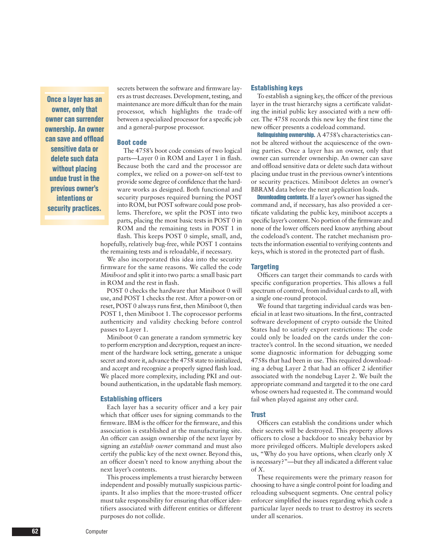**Once a layer has an owner, only that owner can surrender ownership. An owner can save and offload sensitive data or delete such data without placing undue trust in the previous owner's intentions or security practices.**

secrets between the software and firmware layers as trust decreases. Development, testing, and maintenance are more difficult than for the main processor, which highlights the trade-off between a specialized processor for a specific job and a general-purpose processor.

# **Boot code**

The 4758's boot code consists of two logical parts—Layer 0 in ROM and Layer 1 in flash. Because both the card and the processor are complex, we relied on a power-on self-test to provide some degree of confidence that the hardware works as designed. Both functional and security purposes required burning the POST into ROM, but POST software could pose problems. Therefore, we split the POST into two parts, placing the most basic tests in POST 0 in ROM and the remaining tests in POST 1 in flash. This keeps POST 0 simple, small, and,

hopefully, relatively bug-free, while POST 1 contains the remaining tests and is reloadable, if necessary.

We also incorporated this idea into the security firmware for the same reasons. We called the code *Miniboot* and split it into two parts: a small basic part in ROM and the rest in flash.

POST 0 checks the hardware that Miniboot 0 will use, and POST 1 checks the rest. After a power-on or reset, POST 0 always runs first, then Miniboot 0, then POST 1, then Miniboot 1. The coprocessor performs authenticity and validity checking before control passes to Layer 1.

Miniboot 0 can generate a random symmetric key to perform encryption and decryption, request an increment of the hardware lock setting, generate a unique secret and store it, advance the 4758 state to initialized. and accept and recognize a properly signed flash load. We placed more complexity, including PKI and outbound authentication, in the updatable flash memory.

#### **Establishing officers**

Each layer has a security officer and a key pair which that officer uses for signing commands to the firmware. IBM is the officer for the firmware, and this association is established at the manufacturing site. An officer can assign ownership of the next layer by signing an *establish owner* command and must also certify the public key of the next owner. Beyond this, an officer doesn't need to know anything about the next layer's contents.

This process implements a trust hierarchy between independent and possibly mutually suspicious participants. It also implies that the more-trusted officer must take responsibility for ensuring that officer identifiers associated with different entities or different purposes do not collide.

# **Establishing keys**

To establish a signing key, the officer of the previous layer in the trust hierarchy signs a certificate validating the initial public key associated with a new officer. The 4758 records this new key the first time the new officer presents a codeload command.

Relinquishing ownership. A 4758's characteristics cannot be altered without the acquiescence of the owning parties. Once a layer has an owner, only that owner can surrender ownership. An owner can save and offload sensitive data or delete such data without placing undue trust in the previous owner's intentions or security practices. Miniboot deletes an owner's BBRAM data before the next application loads.

Downloading contents. If a layer's owner has signed the command and, if necessary, has also provided a certificate validating the public key, miniboot accepts a specific layer's content. No portion of the firmware and none of the lower officers need know anything about the codeload's content. The ratchet mechanism protects the information essential to verifying contents and keys, which is stored in the protected part of flash.

#### **Targeting**

Officers can target their commands to cards with specific configuration properties. This allows a full spectrum of control, from individual cards to all, with a single one-round protocol.

We found that targeting individual cards was beneficial in at least two situations. In the first, contracted software development of crypto outside the United States had to satisfy export restrictions: The code could only be loaded on the cards under the contractee's control. In the second situation, we needed some diagnostic information for debugging some 4758s that had been in use. This required downloading a debug Layer 2 that had an officer 2 identifier associated with the nondebug Layer 2. We built the appropriate command and targeted it to the one card whose owners had requested it. The command would fail when played against any other card.

# **Trust**

Officers can establish the conditions under which their secrets will be destroyed. This property allows officers to close a backdoor to sneaky behavior by more privileged officers. Multiple developers asked us, "Why do you have options, when clearly only *X* is necessary?"—but they all indicated a different value of *X*.

These requirements were the primary reason for choosing to have a single control point for loading and reloading subsequent segments. One central policy enforcer simplified the issues regarding which code a particular layer needs to trust to destroy its secrets under all scenarios.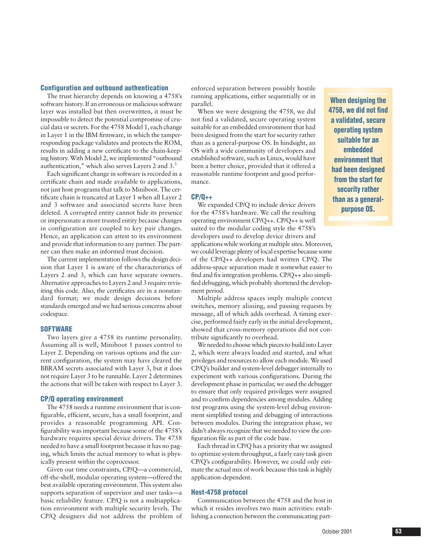# **Configuration and outbound authentication**

The trust hierarchy depends on knowing a 4758's software history. If an erroneous or malicious software layer was installed but then overwritten, it must be impossible to detect the potential compromise of crucial data or secrets. For the 4758 Model 1, each change in Layer 1 in the IBM firmware, in which the tamperresponding package validates and protects the ROM, results in adding a new certificate to the chain-keeping history. With Model 2, we implemented "outbound authentication," which also serves Layers 2 and 3.<sup>3</sup>

Each significant change in software is recorded in a certificate chain and made available to applications, not just host programs that talk to Miniboot. The certificate chain is truncated at Layer 1 when all Layer 2 and 3 software and associated secrets have been deleted. A corrupted entity cannot hide its presence or impersonate a more trusted entity because changes in configuration are coupled to key pair changes. Hence, an application can attest to its environment and provide that information to any partner. The partner can then make an informed trust decision.

The current implementation follows the design decision that Layer 1 is aware of the characteristics of Layers 2 and 3, which can have separate owners. Alternative approaches to Layers 2 and 3 require revisiting this code. Also, the certificates are in a nonstandard format; we made design decisions before standards emerged and we had serious concerns about codespace.

#### **SOFTWARE**

Two layers give a 4758 its runtime personality. Assuming all is well, Miniboot 1 passes control to Layer 2. Depending on various options and the current configuration, the system may have cleared the BBRAM secrets associated with Layer 3, but it does not require Layer 3 to be runnable. Layer 2 determines the actions that will be taken with respect to Layer 3.

# **CP/Q operating environment**

The 4758 needs a runtime environment that is configurable, efficient, secure, has a small footprint, and provides a reasonable programming API. Configurability was important because some of the 4758's hardware requires special device drivers. The 4758 needed to have a small footprint because it has no paging, which limits the actual memory to what is physically present within the coprocessor.

Given our time constraints, CP/Q—a commercial, off-the-shelf, modular operating system—offered the best available operating environment. This system also supports separation of supervisor and user tasks—a basic reliability feature. CP/Q is not a multiapplication environment with multiple security levels. The CP/Q designers did not address the problem of

enforced separation between possibly hostile running applications, either sequentially or in parallel.

When we were designing the 4758, we did not find a validated, secure operating system suitable for an embedded environment that had been designed from the start for security rather than as a general-purpose OS. In hindsight, an OS with a wide community of developers and established software, such as Linux, would have been a better choice, provided that it offered a reasonable runtime footprint and good performance.

# **CP/Q++**

We expanded CP/Q to include device drivers for the 4758's hardware. We call the resulting operating environment CP/Q++. CP/Q++ is well suited to the modular coding style the 4758's developers used to develop device drivers and applications while working at multiple sites. Moreover, we could leverage plenty of local expertise because some of the CP/Q++ developers had written CP/Q. The address-space separation made it somewhat easier to find and fix integration problems. CP/Q++ also simplified debugging, which probably shortened the development period.

Multiple address spaces imply multiple context switches, memory aliasing, and passing requests by message, all of which adds overhead. A timing exercise, performed fairly early in the initial development, showed that cross-memory operations did not contribute significantly to overhead.

We needed to choose which pieces to build into Layer 2, which were always loaded and started, and what privileges and resources to allow each module. We used CP/Q's builder and system-level debugger internally to experiment with various configurations. During the development phase in particular, we used the debugger to ensure that only required privileges were assigned and to confirm dependencies among modules. Adding test programs using the system-level debug environment simplified testing and debugging of interactions between modules. During the integration phase, we didn't always recognize that we needed to view the configuration file as part of the code base.

Each thread in CP/Q has a priority that we assigned to optimize system throughput, a fairly easy task given CP/Q's configurability. However, we could only estimate the actual mix of work because this task is highly application-dependent.

#### **Host-4758 protocol**

Communication between the 4758 and the host in which it resides involves two main activities: establishing a connection between the communicating part-

**When designing the 4758, we did not find a validated, secure operating system suitable for an embedded environment that had been designed from the start for security rather than as a generalpurpose OS.**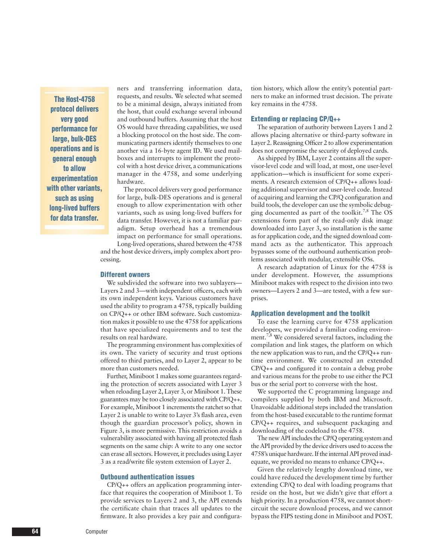**The Host-4758 protocol delivers very good performance for large, bulk-DES operations and is general enough to allow experimentation with other variants, such as using long-lived buffers for data transfer.**

ners and transferring information data, requests, and results. We selected what seemed to be a minimal design, always initiated from the host, that could exchange several inbound and outbound buffers. Assuming that the host OS would have threading capabilities, we used a blocking protocol on the host side. The communicating partners identify themselves to one another via a 16-byte agent ID. We used mailboxes and interrupts to implement the protocol with a host device driver, a communications manager in the 4758, and some underlying hardware.

The protocol delivers very good performance for large, bulk-DES operations and is general enough to allow experimentation with other variants, such as using long-lived buffers for data transfer. However, it is not a familiar paradigm. Setup overhead has a tremendous impact on performance for small operations. Long-lived operations, shared between the 4758

and the host device drivers, imply complex abort processing.

#### **Different owners**

We subdivided the software into two sublayers— Layers 2 and 3—with independent officers, each with its own independent keys. Various customers have used the ability to program a 4758, typically building on CP/Q++ or other IBM software. Such customization makes it possible to use the 4758 for applications that have specialized requirements and to test the results on real hardware.

The programming environment has complexities of its own. The variety of security and trust options offered to third parties, and to Layer 2, appear to be more than customers needed.

Further, Miniboot 1 makes some guarantees regarding the protection of secrets associated with Layer 3 when reloading Layer 2, Layer 3, or Miniboot 1. These guarantees may be too closely associated with CP/Q++. For example, Miniboot 1 increments the ratchet so that Layer 2 is unable to write to Layer 3's flash area, even though the guardian processor's policy, shown in Figure 3, is more permissive. This restriction avoids a vulnerability associated with having all protected flash segments on the same chip: A write to any one sector can erase all sectors. However, it precludes using Layer 3 as a read/write file system extension of Layer 2.

#### **Outbound authentication issues**

CP/Q++ offers an application programming interface that requires the cooperation of Miniboot 1. To provide services to Layers 2 and 3, the API extends the certificate chain that traces all updates to the firmware. It also provides a key pair and configuration history, which allow the entity's potential partners to make an informed trust decision. The private key remains in the 4758.

# **Extending or replacing CP/Q++**

The separation of authority between Layers 1 and 2 allows placing alternative or third-party software in Layer 2. Reassigning Officer 2 to allow experimentation does not compromise the security of deployed cards.

As shipped by IBM, Layer 2 contains all the supervisor-level code and will load, at most, one user-level application—which is insufficient for some experiments. A research extension of CP/Q++ allows loading additional supervisor and user-level code. Instead of acquiring and learning the CP/Q configuration and build tools, the developer can use the symbolic debugging documented as part of the toolkit.<sup>7,8</sup> The OS extensions form part of the read-only disk image downloaded into Layer 3, so installation is the same as for application code, and the signed download command acts as the authenticator. This approach bypasses some of the outbound authentication problems associated with modular, extensible OSs.

A research adaptation of Linux for the 4758 is under development. However, the assumptions Miniboot makes with respect to the division into two owners—Layers 2 and 3—are tested, with a few surprises.

#### **Application development and the toolkit**

To ease the learning curve for 4758 application developers, we provided a familiar coding environment.<sup>7,8</sup> We considered several factors, including the compilation and link stages, the platform on which the new application was to run, and the CP/Q++ runtime environment. We constructed an extended CP/Q++ and configured it to contain a debug probe and various means for the probe to use either the PCI bus or the serial port to converse with the host.

We supported the C programming language and compilers supplied by both IBM and Microsoft. Unavoidable additional steps included the translation from the host-based executable to the runtime format CP/Q++ requires, and subsequent packaging and downloading of the codeload to the 4758.

The new API includes the CP/Q operating system and the API provided by the device drivers used to access the 4758's unique hardware. If the internal API proved inadequate, we provided no means to enhance CP/Q++.

Given the relatively lengthy download time, we could have reduced the development time by further extending CP/Q to deal with loading programs that reside on the host, but we didn't give that effort a high priority. In a production 4758, we cannot shortcircuit the secure download process, and we cannot bypass the FIPS testing done in Miniboot and POST.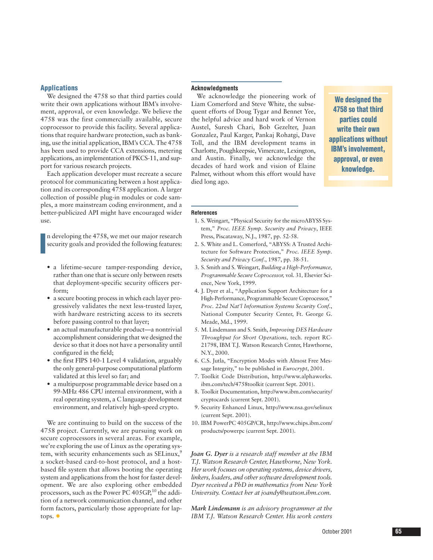# **Applications**

We designed the 4758 so that third parties could write their own applications without IBM's involvement, approval, or even knowledge. We believe the 4758 was the first commercially available, secure coprocessor to provide this facility. Several applications that require hardware protection, such as banking, use the initial application, IBM's CCA. The 4758 has been used to provide CCA extensions, metering applications, an implementation of PKCS-11, and support for various research projects.

Each application developer must recreate a secure protocol for communicating between a host application and its corresponding 4758 application. A larger collection of possible plug-in modules or code samples, a more mainstream coding environment, and a better-publicized API might have encouraged wider use.

**I** n developing the 4758, we met our major research security goals and provided the following features:

- a lifetime-secure tamper-responding device, rather than one that is secure only between resets that deployment-specific security officers perform;
- a secure booting process in which each layer progressively validates the next less-trusted layer, with hardware restricting access to its secrets before passing control to that layer;
- an actual manufacturable product—a nontrivial accomplishment considering that we designed the device so that it does not have a personality until configured in the field;
- the first FIPS 140-1 Level 4 validation, arguably the only general-purpose computational platform validated at this level so far; and
- a multipurpose programmable device based on a 99-MHz 486 CPU internal environment, with a real operating system, a C language development environment, and relatively high-speed crypto.

We are continuing to build on the success of the 4758 project. Currently, we are pursuing work on secure coprocessors in several areas. For example, we're exploring the use of Linux as the operating system, with security enhancements such as SELinux,<sup>9</sup> a socket-based card-to-host protocol, and a hostbased file system that allows booting the operating system and applications from the host for faster development. We are also exploring other embedded processors, such as the Power PC  $405GP<sub>10</sub><sup>10</sup>$  the addition of a network communication channel, and other form factors, particularly those appropriate for laptops. ✸

# **Acknowledgments**

We acknowledge the pioneering work of Liam Comerford and Steve White, the subsequent efforts of Doug Tygar and Bennet Yee, the helpful advice and hard work of Vernon Austel, Suresh Chari, Bob Gezelter, Juan Gonzalez, Paul Karger, Pankaj Rohatgi, Dave Toll, and the IBM development teams in Charlotte, Poughkeepsie, Vimercate, Lexington, and Austin. Finally, we acknowledge the decades of hard work and vision of Elaine Palmer, without whom this effort would have died long ago.

**We designed the 4758 so that third parties could write their own applications without IBM's involvement, approval, or even knowledge.**

#### **References**

- 1. S. Weingart, "Physical Security for the microABYSS System," *Proc. IEEE Symp. Security and Privacy*, IEEE Press, Piscataway, N.J., 1987, pp. 52-58.
- 2. S. White and L. Comerford, "ABYSS: A Trusted Architecture for Software Protection," *Proc. IEEE Symp. Security and Privacy Conf.*, 1987, pp. 38-51.
- 3. S. Smith and S. Weingart, *Building a High-Performance, Programmable Secure Coprocessor,* vol. 31*,* Elsevier Science, New York, 1999.
- 4. J. Dyer et al., "Application Support Architecture for a High-Performance, Programmable Secure Coprocessor," *Proc. 22nd Nat'l Information Systems Security Conf.*, National Computer Security Center, Ft. George G. Meade, Md., 1999.
- 5. M. Lindemann and S. Smith, *Improving DES Hardware Throughput for Short Operations,* tech. report RC-21798, IBM T.J. Watson Research Center, Hawthorne, N.Y., 2000.
- 6. C.S. Jutla, "Encryption Modes with Almost Free Message Integrity," to be published in *Eurocrypt*, 2001.
- 7. Toolkit Code Distribution, http://www.alphaworks. ibm.com/tech/4758toolkit (current Sept. 2001).
- 8. Toolkit Documentation, http://www.ibm.com/security/ cryptocards (current Sept. 2001).
- 9. Security Enhanced Linux, http://www.nsa.gov/selinux (current Sept. 2001).
- 10. IBM PowerPC 405GP/CR, http://www.chips.ibm.com/ products/powerpc (current Sept. 2001).

*Joan G. Dyer is a research staff member at the IBM T.J. Watson Research Center, Hawthorne, New York. Her work focuses on operating systems, device drivers, linkers, loaders, and other software development tools. Dyer received a PhD in mathematics from New York University. Contact her at joandy@watson.ibm.com.*

*Mark Lindemann is an advisory programmer at the IBM T.J. Watson Research Center. His work centers*